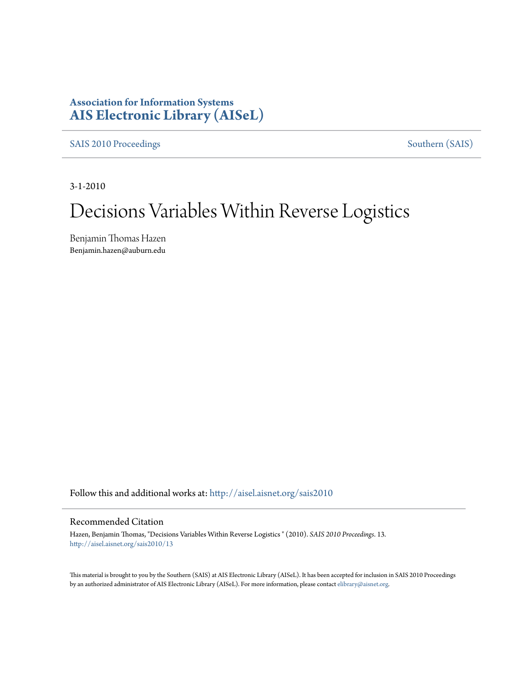# **Association for Information Systems [AIS Electronic Library \(AISeL\)](http://aisel.aisnet.org?utm_source=aisel.aisnet.org%2Fsais2010%2F13&utm_medium=PDF&utm_campaign=PDFCoverPages)**

[SAIS 2010 Proceedings](http://aisel.aisnet.org/sais2010?utm_source=aisel.aisnet.org%2Fsais2010%2F13&utm_medium=PDF&utm_campaign=PDFCoverPages) [Southern \(SAIS\)](http://aisel.aisnet.org/sais?utm_source=aisel.aisnet.org%2Fsais2010%2F13&utm_medium=PDF&utm_campaign=PDFCoverPages)

3-1-2010

# Decisions Variables Within Reverse Logistics

Benjamin Thomas Hazen Benjamin.hazen@auburn.edu

Follow this and additional works at: [http://aisel.aisnet.org/sais2010](http://aisel.aisnet.org/sais2010?utm_source=aisel.aisnet.org%2Fsais2010%2F13&utm_medium=PDF&utm_campaign=PDFCoverPages)

## Recommended Citation

Hazen, Benjamin Thomas, "Decisions Variables Within Reverse Logistics " (2010). *SAIS 2010 Proceedings*. 13. [http://aisel.aisnet.org/sais2010/13](http://aisel.aisnet.org/sais2010/13?utm_source=aisel.aisnet.org%2Fsais2010%2F13&utm_medium=PDF&utm_campaign=PDFCoverPages)

This material is brought to you by the Southern (SAIS) at AIS Electronic Library (AISeL). It has been accepted for inclusion in SAIS 2010 Proceedings by an authorized administrator of AIS Electronic Library (AISeL). For more information, please contact [elibrary@aisnet.org](mailto:elibrary@aisnet.org%3E).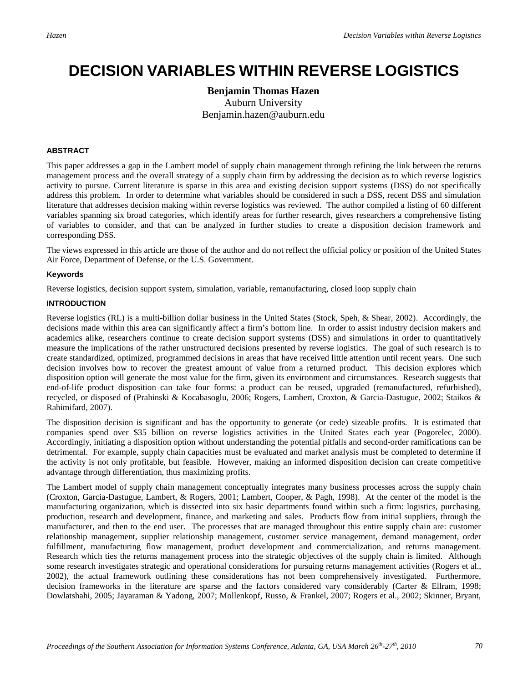# **DECISION VARIABLES WITHIN REVERSE LOGISTICS**

# **Benjamin Thomas Hazen** Auburn University Benjamin.hazen@auburn.edu

#### **ABSTRACT**

This paper addresses a gap in the Lambert model of supply chain management through refining the link between the returns management process and the overall strategy of a supply chain firm by addressing the decision as to which reverse logistics activity to pursue. Current literature is sparse in this area and existing decision support systems (DSS) do not specifically address this problem. In order to determine what variables should be considered in such a DSS, recent DSS and simulation literature that addresses decision making within reverse logistics was reviewed. The author compiled a listing of 60 different variables spanning six broad categories, which identify areas for further research, gives researchers a comprehensive listing of variables to consider, and that can be analyzed in further studies to create a disposition decision framework and corresponding DSS.

The views expressed in this article are those of the author and do not reflect the official policy or position of the United States Air Force, Department of Defense, or the U.S. Government.

#### **Keywords**

Reverse logistics, decision support system, simulation, variable, remanufacturing, closed loop supply chain

#### **INTRODUCTION**

Reverse logistics (RL) is a multi-billion dollar business in the United States (Stock, Speh, & Shear, 2002). Accordingly, the decisions made within this area can significantly affect a firm's bottom line. In order to assist industry decision makers and academics alike, researchers continue to create decision support systems (DSS) and simulations in order to quantitatively measure the implications of the rather unstructured decisions presented by reverse logistics. The goal of such research is to create standardized, optimized, programmed decisions in areas that have received little attention until recent years. One such decision involves how to recover the greatest amount of value from a returned product. This decision explores which disposition option will generate the most value for the firm, given its environment and circumstances. Research suggests that end-of-life product disposition can take four forms: a product can be reused, upgraded (remanufactured, refurbished), recycled, or disposed of (Prahinski & Kocabasoglu, 2006; Rogers, Lambert, Croxton, & Garcia-Dastugue, 2002; Staikos & Rahimifard, 2007).

The disposition decision is significant and has the opportunity to generate (or cede) sizeable profits. It is estimated that companies spend over \$35 billion on reverse logistics activities in the United States each year (Pogorelec, 2000). Accordingly, initiating a disposition option without understanding the potential pitfalls and second-order ramifications can be detrimental. For example, supply chain capacities must be evaluated and market analysis must be completed to determine if the activity is not only profitable, but feasible. However, making an informed disposition decision can create competitive advantage through differentiation, thus maximizing profits.

The Lambert model of supply chain management conceptually integrates many business processes across the supply chain (Croxton, Garcia-Dastugue, Lambert, & Rogers, 2001; Lambert, Cooper, & Pagh, 1998). At the center of the model is the manufacturing organization, which is dissected into six basic departments found within such a firm: logistics, purchasing, production, research and development, finance, and marketing and sales. Products flow from initial suppliers, through the manufacturer, and then to the end user. The processes that are managed throughout this entire supply chain are: customer relationship management, supplier relationship management, customer service management, demand management, order fulfillment, manufacturing flow management, product development and commercialization, and returns management. Research which ties the returns management process into the strategic objectives of the supply chain is limited. Although some research investigates strategic and operational considerations for pursuing returns management activities (Rogers et al., 2002), the actual framework outlining these considerations has not been comprehensively investigated. Furthermore, decision frameworks in the literature are sparse and the factors considered vary considerably (Carter & Ellram, 1998; Dowlatshahi, 2005; Jayaraman & Yadong, 2007; Mollenkopf, Russo, & Frankel, 2007; Rogers et al., 2002; Skinner, Bryant,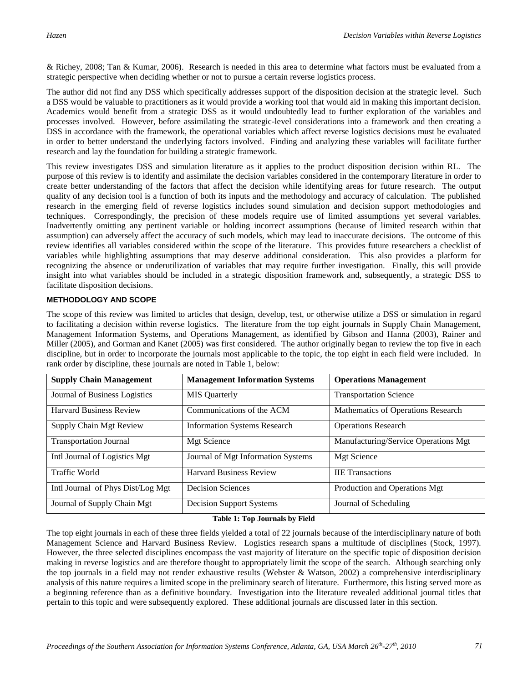& Richey, 2008; Tan & Kumar, 2006). Research is needed in this area to determine what factors must be evaluated from a strategic perspective when deciding whether or not to pursue a certain reverse logistics process.

The author did not find any DSS which specifically addresses support of the disposition decision at the strategic level. Such a DSS would be valuable to practitioners as it would provide a working tool that would aid in making this important decision. Academics would benefit from a strategic DSS as it would undoubtedly lead to further exploration of the variables and processes involved. However, before assimilating the strategic-level considerations into a framework and then creating a DSS in accordance with the framework, the operational variables which affect reverse logistics decisions must be evaluated in order to better understand the underlying factors involved. Finding and analyzing these variables will facilitate further research and lay the foundation for building a strategic framework.

This review investigates DSS and simulation literature as it applies to the product disposition decision within RL. The purpose of this review is to identify and assimilate the decision variables considered in the contemporary literature in order to create better understanding of the factors that affect the decision while identifying areas for future research. The output quality of any decision tool is a function of both its inputs and the methodology and accuracy of calculation. The published research in the emerging field of reverse logistics includes sound simulation and decision support methodologies and techniques. Correspondingly, the precision of these models require use of limited assumptions yet several variables. Inadvertently omitting any pertinent variable or holding incorrect assumptions (because of limited research within that assumption) can adversely affect the accuracy of such models, which may lead to inaccurate decisions. The outcome of this review identifies all variables considered within the scope of the literature. This provides future researchers a checklist of variables while highlighting assumptions that may deserve additional consideration. This also provides a platform for recognizing the absence or underutilization of variables that may require further investigation. Finally, this will provide insight into what variables should be included in a strategic disposition framework and, subsequently, a strategic DSS to facilitate disposition decisions.

### **METHODOLOGY AND SCOPE**

The scope of this review was limited to articles that design, develop, test, or otherwise utilize a DSS or simulation in regard to facilitating a decision within reverse logistics. The literature from the top eight journals in Supply Chain Management, Management Information Systems, and Operations Management, as identified by Gibson and Hanna (2003), Rainer and Miller (2005), and Gorman and Kanet (2005) was first considered. The author originally began to review the top five in each discipline, but in order to incorporate the journals most applicable to the topic, the top eight in each field were included. In rank order by discipline, these journals are noted in Table 1, below:

| <b>Supply Chain Management</b>    | <b>Management Information Systems</b> | <b>Operations Management</b>         |  |
|-----------------------------------|---------------------------------------|--------------------------------------|--|
| Journal of Business Logistics     | <b>MIS</b> Quarterly                  | <b>Transportation Science</b>        |  |
| <b>Harvard Business Review</b>    | Communications of the ACM             | Mathematics of Operations Research   |  |
| Supply Chain Mgt Review           | <b>Information Systems Research</b>   | <b>Operations Research</b>           |  |
| <b>Transportation Journal</b>     | Mgt Science                           | Manufacturing/Service Operations Mgt |  |
| Intl Journal of Logistics Mgt     | Journal of Mgt Information Systems    | <b>Mgt Science</b>                   |  |
| Traffic World                     | <b>Harvard Business Review</b>        | <b>IIE</b> Transactions              |  |
| Intl Journal of Phys Dist/Log Mgt | <b>Decision Sciences</b>              | Production and Operations Mgt        |  |
| Journal of Supply Chain Mgt       | <b>Decision Support Systems</b>       | Journal of Scheduling                |  |

#### **Table 1: Top Journals by Field**

The top eight journals in each of these three fields yielded a total of 22 journals because of the interdisciplinary nature of both Management Science and Harvard Business Review. Logistics research spans a multitude of disciplines (Stock, 1997). However, the three selected disciplines encompass the vast majority of literature on the specific topic of disposition decision making in reverse logistics and are therefore thought to appropriately limit the scope of the search. Although searching only the top journals in a field may not render exhaustive results (Webster & Watson, 2002) a comprehensive interdisciplinary analysis of this nature requires a limited scope in the preliminary search of literature. Furthermore, this listing served more as a beginning reference than as a definitive boundary. Investigation into the literature revealed additional journal titles that pertain to this topic and were subsequently explored. These additional journals are discussed later in this section.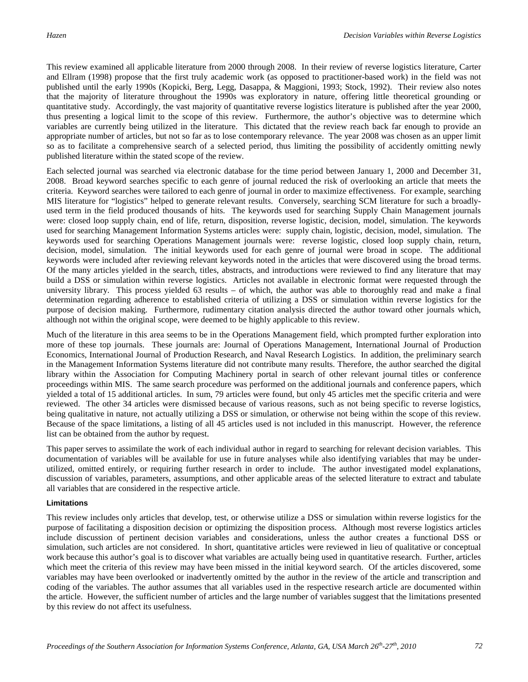This review examined all applicable literature from 2000 through 2008. In their review of reverse logistics literature, Carter and Ellram (1998) propose that the first truly academic work (as opposed to practitioner-based work) in the field was not published until the early 1990s (Kopicki, Berg, Legg, Dasappa, & Maggioni, 1993; Stock, 1992). Their review also notes that the majority of literature throughout the 1990s was exploratory in nature, offering little theoretical grounding or quantitative study. Accordingly, the vast majority of quantitative reverse logistics literature is published after the year 2000, thus presenting a logical limit to the scope of this review. Furthermore, the author's objective was to determine which variables are currently being utilized in the literature. This dictated that the review reach back far enough to provide an appropriate number of articles, but not so far as to lose contemporary relevance. The year 2008 was chosen as an upper limit so as to facilitate a comprehensive search of a selected period, thus limiting the possibility of accidently omitting newly published literature within the stated scope of the review.

Each selected journal was searched via electronic database for the time period between January 1, 2000 and December 31, 2008. Broad keyword searches specific to each genre of journal reduced the risk of overlooking an article that meets the criteria. Keyword searches were tailored to each genre of journal in order to maximize effectiveness. For example, searching MIS literature for "logistics" helped to generate relevant results. Conversely, searching SCM literature for such a broadlyused term in the field produced thousands of hits. The keywords used for searching Supply Chain Management journals were: closed loop supply chain, end of life, return, disposition, reverse logistic, decision, model, simulation. The keywords used for searching Management Information Systems articles were: supply chain, logistic, decision, model, simulation. The keywords used for searching Operations Management journals were: reverse logistic, closed loop supply chain, return, decision, model, simulation. The initial keywords used for each genre of journal were broad in scope. The additional keywords were included after reviewing relevant keywords noted in the articles that were discovered using the broad terms. Of the many articles yielded in the search, titles, abstracts, and introductions were reviewed to find any literature that may build a DSS or simulation within reverse logistics. Articles not available in electronic format were requested through the university library. This process yielded  $63$  results – of which, the author was able to thoroughly read and make a final determination regarding adherence to established criteria of utilizing a DSS or simulation within reverse logistics for the purpose of decision making. Furthermore, rudimentary citation analysis directed the author toward other journals which, although not within the original scope, were deemed to be highly applicable to this review.

Much of the literature in this area seems to be in the Operations Management field, which prompted further exploration into more of these top journals. These journals are: Journal of Operations Management, International Journal of Production Economics, International Journal of Production Research, and Naval Research Logistics. In addition, the preliminary search in the Management Information Systems literature did not contribute many results. Therefore, the author searched the digital library within the Association for Computing Machinery portal in search of other relevant journal titles or conference proceedings within MIS. The same search procedure was performed on the additional journals and conference papers, which yielded a total of 15 additional articles. In sum, 79 articles were found, but only 45 articles met the specific criteria and were reviewed. The other 34 articles were dismissed because of various reasons, such as not being specific to reverse logistics, being qualitative in nature, not actually utilizing a DSS or simulation, or otherwise not being within the scope of this review. Because of the space limitations, a listing of all 45 articles used is not included in this manuscript. However, the reference list can be obtained from the author by request.

This paper serves to assimilate the work of each individual author in regard to searching for relevant decision variables. This documentation of variables will be available for use in future analyses while also identifying variables that may be underutilized, omitted entirely, or requiring further research in order to include. The author investigated model explanations, discussion of variables, parameters, assumptions, and other applicable areas of the selected literature to extract and tabulate all variables that are considered in the respective article.

#### **Limitations**

This review includes only articles that develop, test, or otherwise utilize a DSS or simulation within reverse logistics for the purpose of facilitating a disposition decision or optimizing the disposition process. Although most reverse logistics articles include discussion of pertinent decision variables and considerations, unless the author creates a functional DSS or simulation, such articles are not considered. In short, quantitative articles were reviewed in lieu of qualitative or conceptual work because this author's goal is to discover what variables are actually being used in quantitative research. Further, articles which meet the criteria of this review may have been missed in the initial keyword search. Of the articles discovered, some variables may have been overlooked or inadvertently omitted by the author in the review of the article and transcription and coding of the variables. The author assumes that all variables used in the respective research article are documented within the article. However, the sufficient number of articles and the large number of variables suggest that the limitations presented by this review do not affect its usefulness.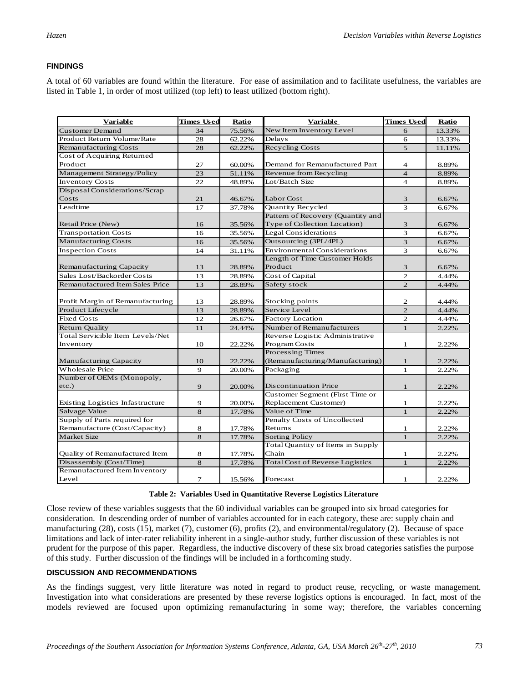# **FINDINGS**

A total of 60 variables are found within the literature. For ease of assimilation and to facilitate usefulness, the variables are listed in Table 1, in order of most utilized (top left) to least utilized (bottom right).

| <b>Variable</b>                  | <b>Times Used</b> | Ratio  | <b>Variable</b>                        | <b>Times Used</b> | <b>Ratio</b> |
|----------------------------------|-------------------|--------|----------------------------------------|-------------------|--------------|
| <b>Customer Demand</b>           | 34                | 75.56% | New Item Inventory Level               | 6                 | 13.33%       |
| Product Return Volume/Rate       | 28                | 62.22% | Delays                                 | 6                 | 13.33%       |
| <b>Remanufacturing Costs</b>     | 28                | 62.22% | Recycling Costs                        | $\overline{5}$    | 11.11%       |
| Cost of Acquiring Returned       |                   |        |                                        |                   |              |
| Product                          | 27                | 60.00% | Demand for Remanufactured Part         | 4                 | 8.89%        |
| Management Strategy/Policy       | 23                | 51.11% | Revenue from Recycling                 | $\overline{4}$    | 8.89%        |
| <b>Inventory Costs</b>           | 22                | 48.89% | Lot/Batch Size                         | $\overline{4}$    | 8.89%        |
| Disposal Considerations/Scrap    |                   |        |                                        |                   |              |
| Costs                            | 21                | 46.67% | Labor Cost                             | 3                 | 6.67%        |
| Leadtime                         | 17                | 37.78% | Quantity Recycled                      | 3                 | 6.67%        |
|                                  |                   |        | Pattern of Recovery (Quantity and      |                   |              |
| Retail Price (New)               | 16                | 35.56% | Type of Collection Location)           | 3                 | 6.67%        |
| <b>Transportation Costs</b>      | 16                | 35.56% | <b>Legal Considerations</b>            | 3                 | 6.67%        |
| <b>Manufacturing Costs</b>       | 16                | 35.56% | Outsourcing (3PL/4PL)                  | 3                 | 6.67%        |
| <b>Inspection Costs</b>          | 14                | 31.11% | <b>Environmental Considerations</b>    | 3                 | 6.67%        |
|                                  |                   |        | Length of Time Customer Holds          |                   |              |
| Remanufacturing Capacity         | 13                | 28.89% | Product                                | 3                 | 6.67%        |
| Sales Lost/Backorder Costs       | 13                | 28.89% | Cost of Capital                        | $\overline{2}$    | 4.44%        |
| Remanufactured Item Sales Price  | 13                | 28.89% | Safety stock                           | $\overline{2}$    | 4.44%        |
|                                  |                   |        |                                        |                   |              |
| Profit Margin of Remanufacturing | 13                | 28.89% | Stocking points                        | 2                 | 4.44%        |
| Product Lifecycle                | 13                | 28.89% | Service Level                          | $\overline{2}$    | 4.44%        |
| <b>Fixed Costs</b>               | 12                | 26.67% | <b>Factory Location</b>                | 2                 | 4.44%        |
| <b>Return Quality</b>            | 11                | 24.44% | Number of Remanufacturers              | $\mathbf{1}$      | 2.22%        |
| Total Servicible Item Levels/Net |                   |        | Reverse Logistic Administrative        |                   |              |
| Inventory                        | 10                | 22.22% | Program Costs                          | 1                 | 2.22%        |
|                                  |                   |        | Processing Times                       |                   |              |
| Manufacturing Capacity           | 10                | 22.22% | (Remanufacturing/Manufacturing)        | $\mathbf{1}$      | 2.22%        |
| Wholesale Price                  | $\mathbf Q$       | 20.00% | Packaging                              | $\mathbf{1}$      | 2.22%        |
| Number of OEMs (Monopoly,        |                   |        |                                        |                   |              |
| $etc.$ )                         | 9                 | 20.00% | <b>Discontinuation Price</b>           | $\mathbf{1}$      | 2.22%        |
|                                  |                   |        | Customer Segment (First Time or        |                   |              |
| Existing Logistics Infastructure | 9                 | 20.00% | Replacement Customer)                  | $\mathbf{1}$      | 2.22%        |
| Salvage Value                    | 8                 | 17.78% | Value of Time                          | $\mathbf{1}$      | 2.22%        |
| Supply of Parts required for     |                   |        | Penalty Costs of Uncollected           |                   |              |
| Remanufacture (Cost/Capacity)    | 8                 | 17.78% | Returns                                | $\mathbf{1}$      | 2.22%        |
| <b>Market Size</b>               | 8                 | 17.78% | Sorting Policy                         | $\mathbf{1}$      | 2.22%        |
|                                  |                   |        | Total Quantity of Items in Supply      |                   |              |
| Quality of Remanufactured Item   | 8                 | 17.78% | Chain                                  | 1                 | 2.22%        |
| Disassembly (Cost/Time)          | 8                 | 17.78% | <b>Total Cost of Reverse Logistics</b> | $\mathbf{1}$      | 2.22%        |
| Remanufactured Item Inventory    |                   |        |                                        |                   |              |
| Level                            | 7                 | 15.56% | Forecast                               | 1                 | 2.22%        |

#### **Table 2: Variables Used in Quantitative Reverse Logistics Literature**

Close review of these variables suggests that the 60 individual variables can be grouped into six broad categories for consideration. In descending order of number of variables accounted for in each category, these are: supply chain and manufacturing (28), costs (15), market (7), customer (6), profits (2), and environmental/regulatory (2). Because of space limitations and lack of inter-rater reliability inherent in a single-author study, further discussion of these variables is not prudent for the purpose of this paper. Regardless, the inductive discovery of these six broad categories satisfies the purpose of this study. Further discussion of the findings will be included in a forthcoming study.

#### **DISCUSSION AND RECOMMENDATIONS**

As the findings suggest, very little literature was noted in regard to product reuse, recycling, or waste management. Investigation into what considerations are presented by these reverse logistics options is encouraged. In fact, most of the models reviewed are focused upon optimizing remanufacturing in some way; therefore, the variables concerning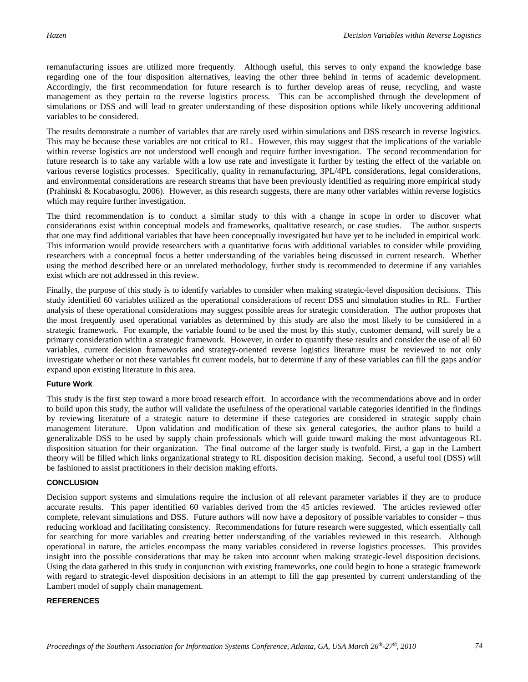remanufacturing issues are utilized more frequently. Although useful, this serves to only expand the knowledge base regarding one of the four disposition alternatives, leaving the other three behind in terms of academic development. Accordingly, the first recommendation for future research is to further develop areas of reuse, recycling, and waste management as they pertain to the reverse logistics process. This can be accomplished through the development of simulations or DSS and will lead to greater understanding of these disposition options while likely uncovering additional variables to be considered.

The results demonstrate a number of variables that are rarely used within simulations and DSS research in reverse logistics. This may be because these variables are not critical to RL. However, this may suggest that the implications of the variable within reverse logistics are not understood well enough and require further investigation. The second recommendation for future research is to take any variable with a low use rate and investigate it further by testing the effect of the variable on various reverse logistics processes. Specifically, quality in remanufacturing, 3PL/4PL considerations, legal considerations, and environmental considerations are research streams that have been previously identified as requiring more empirical study (Prahinski & Kocabasoglu, 2006). However, as this research suggests, there are many other variables within reverse logistics which may require further investigation.

The third recommendation is to conduct a similar study to this with a change in scope in order to discover what considerations exist within conceptual models and frameworks, qualitative research, or case studies. The author suspects that one may find additional variables that have been conceptually investigated but have yet to be included in empirical work. This information would provide researchers with a quantitative focus with additional variables to consider while providing researchers with a conceptual focus a better understanding of the variables being discussed in current research. Whether using the method described here or an unrelated methodology, further study is recommended to determine if any variables exist which are not addressed in this review.

Finally, the purpose of this study is to identify variables to consider when making strategic-level disposition decisions. This study identified 60 variables utilized as the operational considerations of recent DSS and simulation studies in RL. Further analysis of these operational considerations may suggest possible areas for strategic consideration. The author proposes that the most frequently used operational variables as determined by this study are also the most likely to be considered in a strategic framework. For example, the variable found to be used the most by this study, customer demand, will surely be a primary consideration within a strategic framework. However, in order to quantify these results and consider the use of all 60 variables, current decision frameworks and strategy-oriented reverse logistics literature must be reviewed to not only investigate whether or not these variables fit current models, but to determine if any of these variables can fill the gaps and/or expand upon existing literature in this area.

# **Future Work**

This study is the first step toward a more broad research effort. In accordance with the recommendations above and in order to build upon this study, the author will validate the usefulness of the operational variable categories identified in the findings by reviewing literature of a strategic nature to determine if these categories are considered in strategic supply chain management literature. Upon validation and modification of these six general categories, the author plans to build a generalizable DSS to be used by supply chain professionals which will guide toward making the most advantageous RL disposition situation for their organization. The final outcome of the larger study is twofold. First, a gap in the Lambert theory will be filled which links organizational strategy to RL disposition decision making. Second, a useful tool (DSS) will be fashioned to assist practitioners in their decision making efforts.

# **CONCLUSION**

Decision support systems and simulations require the inclusion of all relevant parameter variables if they are to produce accurate results. This paper identified 60 variables derived from the 45 articles reviewed. The articles reviewed offer complete, relevant simulations and DSS. Future authors will now have a depository of possible variables to consider – thus reducing workload and facilitating consistency. Recommendations for future research were suggested, which essentially call for searching for more variables and creating better understanding of the variables reviewed in this research. Although operational in nature, the articles encompass the many variables considered in reverse logistics processes. This provides insight into the possible considerations that may be taken into account when making strategic-level disposition decisions. Using the data gathered in this study in conjunction with existing frameworks, one could begin to hone a strategic framework with regard to strategic-level disposition decisions in an attempt to fill the gap presented by current understanding of the Lambert model of supply chain management.

#### **REFERENCES**